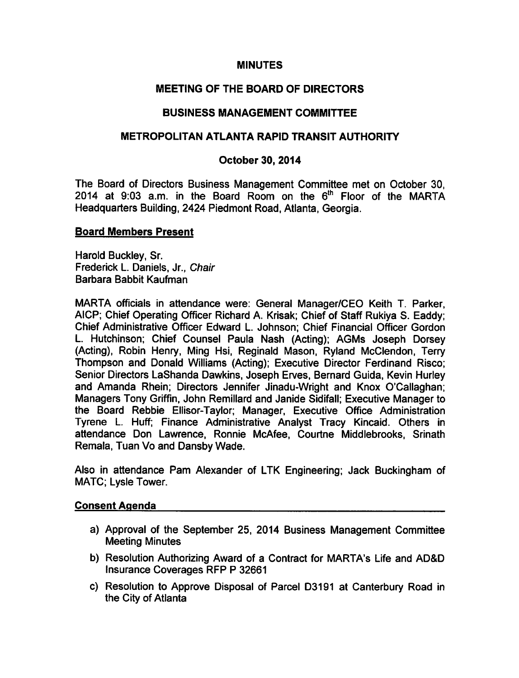# **MINUTES**

# MEETING OF THE BOARD OF DIRECTORS

## BUSINESS MANAGEMENT COMMITTEE

## METROPOLITAN ATLANTA RAPID TRANSIT AUTHORITY

## October 30, 2014

The Board of Directors Business Management Committee met on October 30, 2014 at 9:03 a.m. in the Board Room on the  $6<sup>th</sup>$  Floor of the MARTA Headquarters Building, 2424 Piedmont Road, Atlanta, Georgia.

### Board Members Present

Harold Buckley, Sr. Frederick L. Daniels, Jr., Chair Barbara Babbit Kaufman

MARTA officials in attendance were: General Manager/CEO Keith T. Parker, AICP; Chief Operating Officer Richard A. Krisak; Chief of Staff Rukiya S. Eaddy; Chief Administrative Officer Edward L. Johnson; Chief Financial Officer Gordon L. Hutchinson; Chief Counsel Paula Nash (Acting); AGMs Joseph Dorsey (Acting), Robin Henry, Ming Hsi, Reginald Mason, Ryland McClendon, Terry Thompson and Donald Williams (Acting); Executive Director Ferdinand Risco; Senior Directors LaShanda Dawkins, Joseph Erves, Bernard Guida, Kevin Hurley and Amanda Rhein; Directors Jennifer Jinadu-Wright and Knox O'Callaghan; Managers Tony Griffin, John Remillard and Janide Sidifall; Executive Manager to the Board Rebbie Ellisor-Taylor; Manager, Executive Office Administration Tyrene L. Huff; Finance Administrative Analyst Tracy Kincaid. Others in attendance Don Lawrence, Ronnie McAfee, Courtne Middlebrooks, Srinath Remala, Tuan Vo and Dansby Wade.

Also in attendance Pam Alexander of LTK Engineering; Jack Buckingham of MATC; Lysle Tower.

#### Consent Agenda

- a) Approval of the September 25, 2014 Business Management Committee Meeting Minutes
- b) Resolution Authorizing Award of a Contract for MARTA's Life and AD&D Insurance Coverages RFP 32661
- c) Resolution to Approve Disposal of Parcel D3191 at Canterbury Road in the City of Atlanta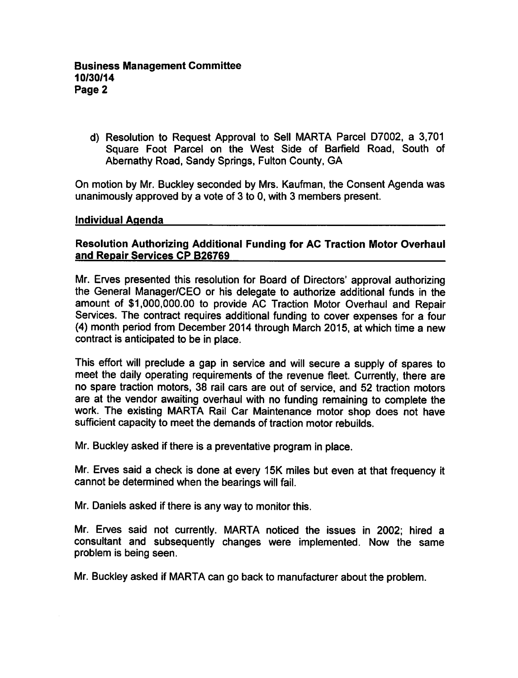d) Resolution to Request Approval to Sell MARTA Parcel D7002, a 3,701 Square Foot Parcel on the West Side of Barfield Road, South of Abemathy Road, Sandy Springs, Fulton County, GA

On motion by Mr. Buckley seconded by Mrs. Kaufman, the Consent Agenda was unanimously approved by a vote of 3 to 0, with 3 members present.

#### individual Agenda

## Resolution Authorizing Additional Funding for AC Traction Motor Overhaul and Repair Services CP B26769

Mr. Erves presented this resolution for Board of Directors' approval authorizing the General Manager/CEO or his delegate to authorize additional funds in the amount of \$1,000,000.00 to provide AC Traction Motor Overhaul and Repair Services. The contract requires additional funding to cover expenses for a four (4) month period from December 2014 through March 2015, at which time a new contract is anticipated to be in place.

This effort will preclude a gap in service and will secure a supply of spares to meet the daily operating requirements of the revenue fleet. Currently, there are no spare traction motors, 38 rail cars are out of service, and 52 traction motors are at the vendor awaiting overhaul with no funding remaining to complete the work. The existing MARTA Rail Car Maintenance motor shop does not have sufficient capacity to meet the demands of traction motor rebuilds.

Mr. Buckley asked if there is a preventative program in place.

Mr. Erves said a check is done at every 15K miles but even at that frequency it cannot be determined when the bearings will fail.

Mr. Daniels asked if there is any way to monitor this.

Mr. Erves said not currently. MARTA noticed the issues in 2002; hired consultant and subsequently changes were implemented. Now the same problem is being seen.

Mr. Buckley asked if MARTA can go back to manufacturer about the problem.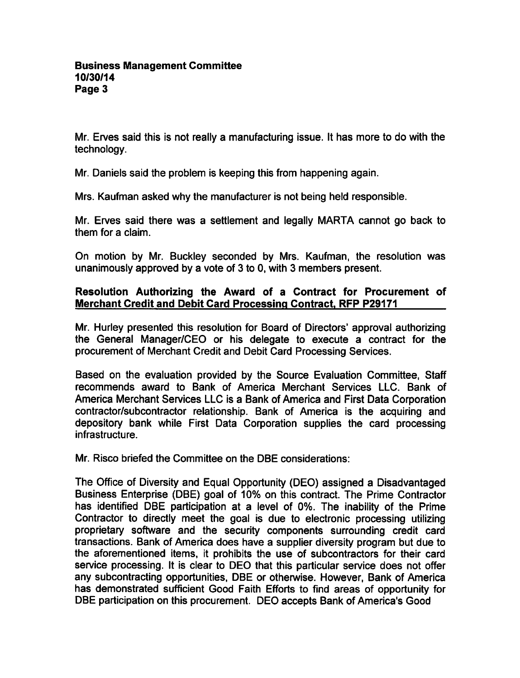Mr. Erves said this is not really a manufacturing issue. It has more to do with the technology.

Mr. Daniels said the problem is keeping this from happening again.

Mrs. Kaufman asked why the manufacturer is not being held responsible.

Mr. Erves said there was a settlement and legally MARTA cannot go back to them for a claim.

On motion by Mr. Buckley seconded by Mrs. Kaufman, the resolution was unanimously approved by a vote of 3 to 0, with 3 members present.

## Resolution Authorizing the Award of a Contract for Procurement of Merchant Credit and Debit Card Processing Contract. RFP P29171

Mr. Hurley presented this resolution for Board of Directors' approval authorizing the General Manager/CEO or his delegate to execute a contract for the procurement of Merchant Credit and Debit Card Processing Services.

Based on the evaluation provided by the Source Evaluation Committee, Staff recommends award to Bank of America Merchant Services LLC. Bank of America Merchant Services LLC is a Bank of America and First Data Corporation contractor/subcontractor relationship. Bank of America is the acquiring and depository bank while First Data Corporation supplies the card processing infrastructure.

Mr. Risco briefed the Committee on the DBE considerations:

The Office of Diversity and Equal Opportunity (DEO) assigned a Disadvantaged Business Enterprise (DBE) goal of 10% on this contract. The Prime Contractor has identified DBE participation at a level of 0%. The inability of the Prime Contractor to directly meet the goal is due to electronic processing utilizing proprietary software and the security components surrounding credit card transactions. Bank of America does have a supplier diversity program but due to the aforementioned items, it prohibits the use of subcontractors for their card service processing. It is clear to DEO that this particular service does not offer any subcontracting opportunities, DBE or otherwise. However, Bank of America has demonstrated sufficient Good Faith Efforts to find areas of opportunity for DBE participation on this procurement. DEO accepts Bank of America's Good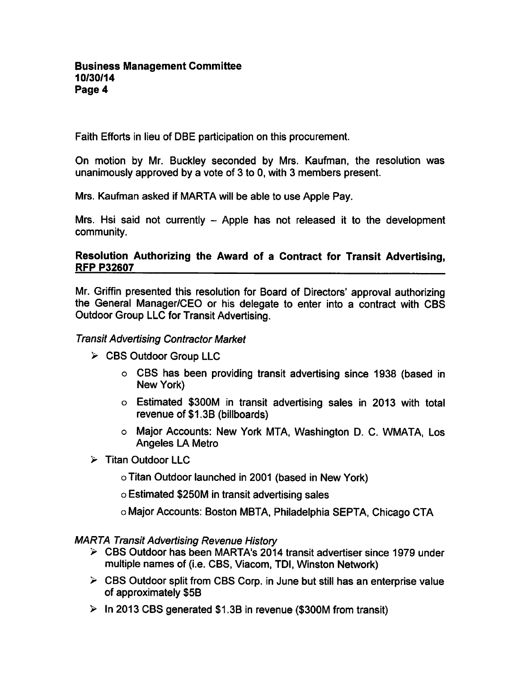Faith Efforts in lieu of DBE participation on this procurement.

On motion by Mr. Buckley seconded by Mrs. Kaufman, the resolution was unanimously approved by a vote of  $3$  to 0, with  $3$  members present.

Mrs. Kaufman asked if MARTA will be able to use Apple Pay.

Mrs. Hsi said not currently  $-$  Apple has not released it to the development community.

## Resolution Authorizing the Award of a Contract for Transit Advertising. RFP P32607

Mr. Griffin presented this resolution for Board of Directors' approval authorizing the General Manager/CEO or his delegate to enter into a contract with CBS Outdoor Group LLC for Transit Advertising.

## Transit Advertising Contractor Market

- CBS Outdoor Group LLC
	- CBS has been providing transit advertising since 1938 (based in New York)
	- Estimated \$300M in transit advertising sales in 2013 with total revenue of S1.3B (billboards)
	- o Major Accounts: New York MTA, Washington D. C. WMATA, Los Angeles LA Metro
- $\triangleright$  Titan Outdoor LLC
	- Titan Outdoor launched in 2001 (based in New York)
	- Estimated \$250M in transit advertising sales
	- Major Accounts: Boston MBTA, Philadelphia SEPTA, Chicago CTA

MARTA Transit Advertising Revenue History

- CBS Outdoor has been MARTA's 2014 transit advertiser since 1979 under multiple names of (i.e. CBS, Viacom, TDI, Winston Network)
- $\triangleright$  CBS Outdoor split from CBS Corp. in June but still has an enterprise value of approximately \$5B
- $\triangleright$  In 2013 CBS generated \$1.3B in revenue (\$300M from transit)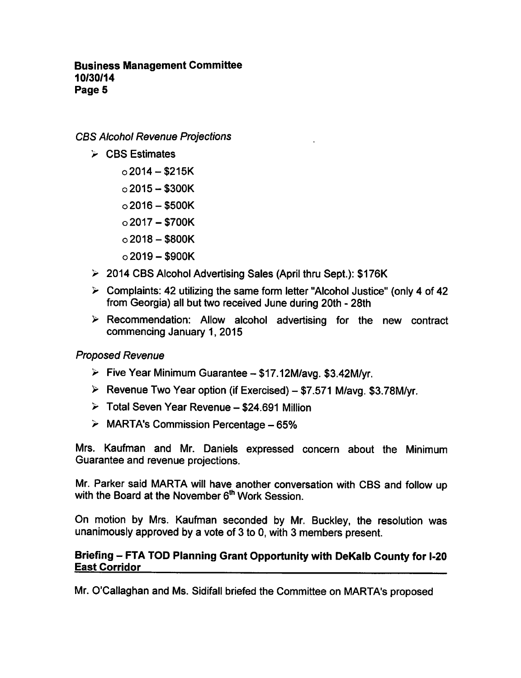## Business Management Committee 10/30/14 Page 5

CBS Alcohol Revenue Projections

- $\triangleright$  CBS Estimates
	- $o$ 2014 \$215K
	- $\circ$  2015 \$300K
	- $\circ$ 2016 \$500K
	- $o$ 2017 \$700K
	- $\circ$ 2018 \$800K
	- $\circ$  2019 \$900K
- 2014 CBS Alcohol Advertising Sales (April thru Sept.): \$176K
- $\triangleright$  Complaints: 42 utilizing the same form letter "Alcohol Justice" (only 4 of 42 from Georgia) all but two received June during 20th - 28th
- $\triangleright$  Recommendation: Allow alcohol advertising for the new contract commencing January 1, 2015

## Proposed Revenue

- $\triangleright$  Five Year Minimum Guarantee \$17.12M/avg. \$3.42M/yr.
- $\triangleright$  Revenue Two Year option (if Exercised) \$7.571 M/avg. \$3.78M/yr.
- $\geq$  Total Seven Year Revenue \$24.691 Million
- $\geq$  MARTA's Commission Percentage 65%

Mrs. Kaufman and Mr. Daniels expressed concern about the Minimum Guarantee and revenue projections.

Mr. Parker said MARTA will have another conversation with CBS and follow up with the Board at the November 6<sup>th</sup> Work Session.

On motion by Mrs. Kaufman seconded by Mr. Buckley, the resolution was unanimously approved by a vote of 3 to 0, with 3 members present.

### Briefing - FTA TOD Planning Grant Opportunity with DeKalb County for I-20 East Corridor

Mr. O'Callaghan and Ms. Sidifall briefed the Committee on MARTA's proposed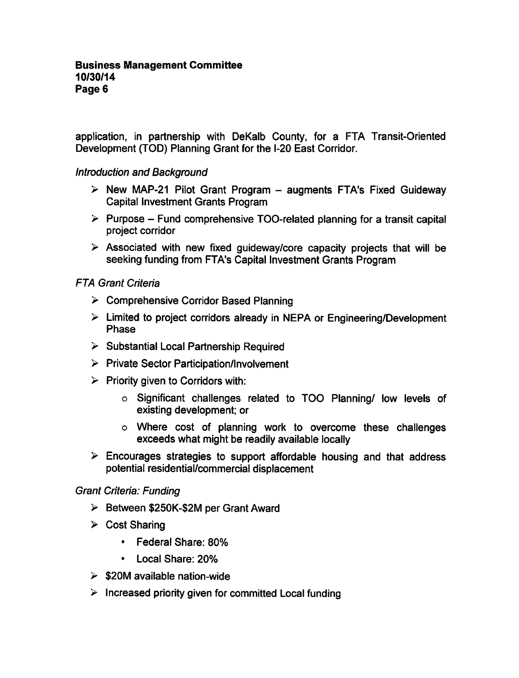application, in partnership with DeKalb County, for a FTA Transit-Oriented Development (TOD) Planning Grant for the I-20 East Corridor.

## Introduction and Background

- $\triangleright$  New MAP-21 Pilot Grant Program augments FTA's Fixed Guideway Capital Investment Grants Program
- $\triangleright$  Purpose Fund comprehensive TOO-related planning for a transit capital project corridor
- $\triangleright$  Associated with new fixed guideway/core capacity projects that will be seeking funding from FTA's Capital Investment Grants Program

# FTA Grant Criteria

- Comprehensive Corridor Based Planning
- $\triangleright$  Limited to project corridors already in NEPA or Engineering/Development Phase
- $\triangleright$  Substantial Local Partnership Required
- $\triangleright$  Private Sector Participation/Involvement
- $\triangleright$  Priority given to Corridors with:
	- Significant challenges related to TOO Planning/ low levels of existing development; or
	- Where cost of planning work to overcome these challenges exceeds what might be readily available locally
- $\triangleright$  Encourages strategies to support affordable housing and that address potential residential/commercial displacement

## Grant Criteria: Funding

- $\triangleright$  Between \$250K-\$2M per Grant Award
- $\triangleright$  Cost Sharing
	- Federal Share: 80%  $\bullet$
	- Local Share: 20%  $\bullet$  .
- $\geq$  \$20M available nation-wide
- $\triangleright$  Increased priority given for committed Local funding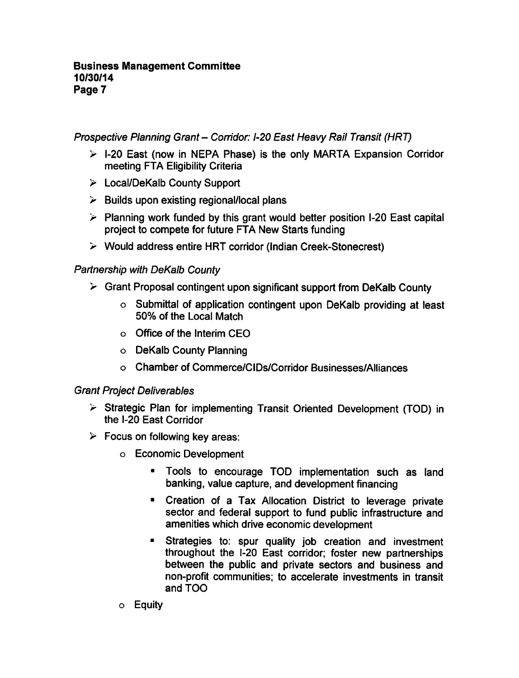### Business Management Committee 10/30/14 Page 7

Prospective Planning Grant- Corridor: 1-20 East Heavy Rail Transit (HRT)

- $\triangleright$  1-20 East (now in NEPA Phase) is the only MARTA Expansion Corridor meeting FTA Eligibility Criteria
- Local/DeKalb County Support
- $\triangleright$  Builds upon existing regional/local plans
- $\geq$  Planning work funded by this grant would better position I-20 East capital project to compete for future FTA New Starts funding
- Would address entire HRT corridor (Indian Creek-Stonecrest)

# Partnership with DeKalb County

- $\geq$  Grant Proposal contingent upon significant support from DeKalb County
	- o Submittal of application contingent upon DeKalb providing at least 50% of the Local Match
	- Office of the Interim CEO
	- DeKalb County Planning
	- Chamber of Commerce/CIDs/Corridor Businesses/Alliances

## Grant Project Deliverables

- $\triangleright$  Strategic Plan for implementing Transit Oriented Development (TOD) in the 1-20 East Corridor
- $\triangleright$  Focus on following key areas:
	- Economic Development
		- $\blacksquare$ Tools to encourage TOD implementation such as land banking, value capture, and development financing
		- Creation of a Tax Allocation District to leverage private sector and federal support to fund public infrastructure and amenities which drive economic development
		- Strategies to: spur quality job creation and investment throughout the 1-20 East corridor; foster new partnerships between the public and private sectors and business and non-profit communities; to accelerate investments in transit and TOO
	- Equity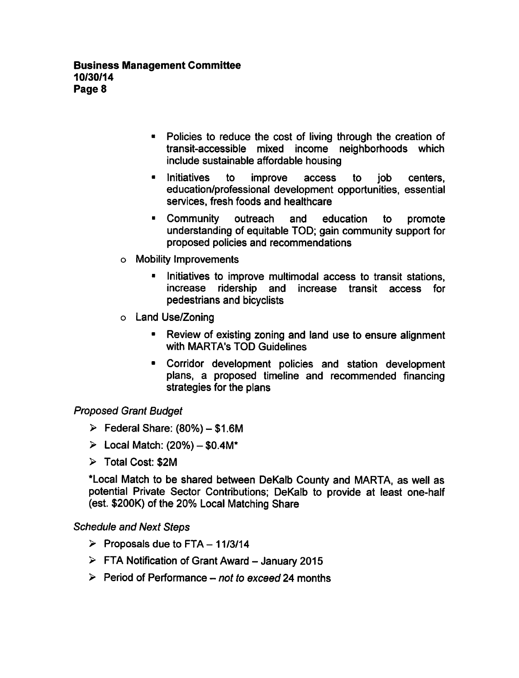- Policies to reduce the cost of living through the creation of transit-accessible mixed income neighborhoods which include sustainable affordable housing
- Initiatives to improve access to job centers, education/professional development opportunities, essential services, fresh foods and healthcare
- Community outreach and education to promote understanding of equitable TOD; gain community support for proposed policies and recommendations
- Mobility Improvements
	- Initiatives to improve multimodal access to transit stations, increase ridership and increase transit access for pedestrians and bicyclists
- Land Use/Zoning
	- Review of existing zoning and land use to ensure alignment with MARTA's TOD Guidelines
	- Corridor development policies and station development plans, a proposed timeline and recommended financing strategies for the plans

# Proposed Grant Budget

- $\triangleright$  Federal Share: (80%) \$1.6M
- $\geq$  Local Match: (20%) \$0.4M\*
- Total Cost: \$2M

\*Local Match to be shared between DeKalb County and MARTA, as well as potential Private Sector Contributions; DeKalb to provide at least one-half (est. \$200K) of the 20% Local Matching Share

## Schedule and Next Steps

- $\triangleright$  Proposals due to FTA 11/3/14
- $\triangleright$  FTA Notification of Grant Award January 2015
- $\triangleright$  Period of Performance not to exceed 24 months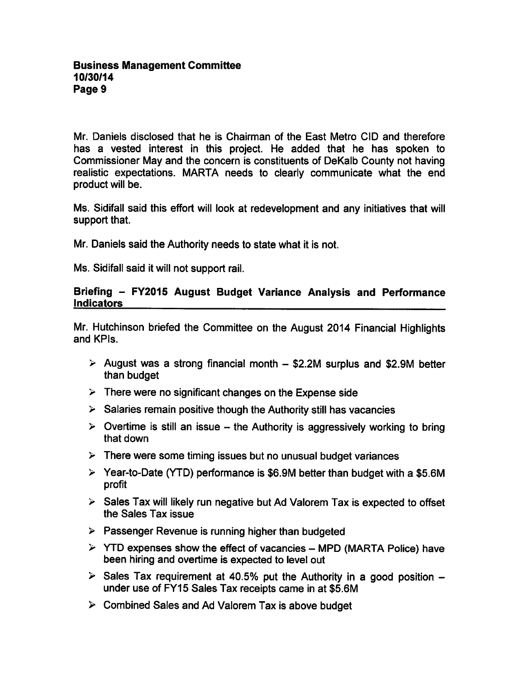Mr. Daniels disclosed that he is Chairman of the East Metro CID and therefore has a vested interest in this project. He added that he has spoken to Commissioner May and the concern is constituents of DeKalb County not having realistic expectations. MARTA needs to clearly communicate what the end product will be.

Ms. Sidifall said this effort will look at redevelopment and any initiatives that will support that.

Mr. Daniels said the Authority needs to state what it is not.

Ms. Sidifall said it will not support rail.

### Briefing - FY2015 August Budget Variance Analysis and Performance **Indicators**

Mr. Hutchinson briefed the Committee on the August 2014 Financial Highlights and KPIs.

- $\ge$  August was a strong financial month  $-$  \$2.2M surplus and \$2.9M better than budget
- $\triangleright$  There were no significant changes on the Expense side
- $\triangleright$  Salaries remain positive though the Authority still has vacancies
- $\triangleright$  Overtime is still an issue the Authority is aggressively working to bring that down
- $\triangleright$  There were some timing issues but no unusual budget variances
- $\triangleright$  Year-to-Date (YTD) performance is \$6.9M better than budget with a \$5.6M profit
- $\triangleright$  Sales Tax will likely run negative but Ad Valorem Tax is expected to offset the Sales Tax issue
- $\triangleright$  Passenger Revenue is running higher than budgeted
- $\triangleright$  YTD expenses show the effect of vacancies MPD (MARTA Police) have been hiring and overtime is expected to level out
- $\geq$  Sales Tax requirement at 40.5% put the Authority in a good position  $$ under use of FY15 Sales Tax receipts came in at \$5.6M
- $\triangleright$  Combined Sales and Ad Valorem Tax is above budget